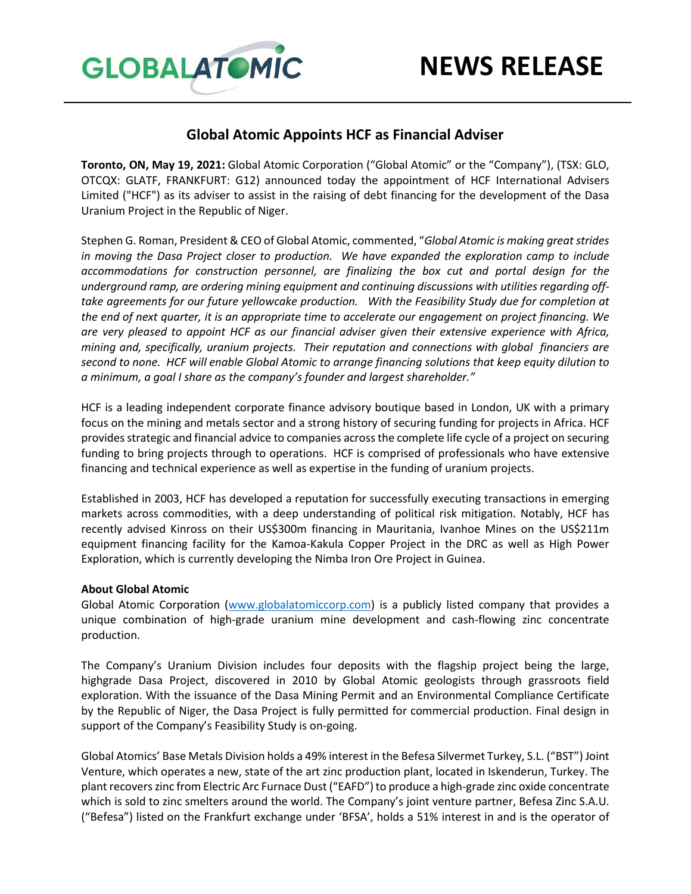

## **Global Atomic Appoints HCF as Financial Adviser**

**Toronto, ON, May 19, 2021:** Global Atomic Corporation ("Global Atomic" or the "Company"), (TSX: GLO, OTCQX: GLATF, FRANKFURT: G12) announced today the appointment of HCF International Advisers Limited ("HCF") as its adviser to assist in the raising of debt financing for the development of the Dasa Uranium Project in the Republic of Niger.

Stephen G. Roman, President & CEO of Global Atomic, commented, "*Global Atomic is making great strides in moving the Dasa Project closer to production. We have expanded the exploration camp to include accommodations for construction personnel, are finalizing the box cut and portal design for the underground ramp, are ordering mining equipment and continuing discussions with utilities regarding offtake agreements for our future yellowcake production. With the Feasibility Study due for completion at the end of next quarter, it is an appropriate time to accelerate our engagement on project financing. We are very pleased to appoint HCF as our financial adviser given their extensive experience with Africa, mining and, specifically, uranium projects. Their reputation and connections with global financiers are second to none. HCF will enable Global Atomic to arrange financing solutions that keep equity dilution to a minimum, a goal I share as the company's founder and largest shareholder."*

HCF is a leading independent corporate finance advisory boutique based in London, UK with a primary focus on the mining and metals sector and a strong history of securing funding for projects in Africa. HCF provides strategic and financial advice to companies across the complete life cycle of a project on securing funding to bring projects through to operations. HCF is comprised of professionals who have extensive financing and technical experience as well as expertise in the funding of uranium projects.

Established in 2003, HCF has developed a reputation for successfully executing transactions in emerging markets across commodities, with a deep understanding of political risk mitigation. Notably, HCF has recently advised Kinross on their US\$300m financing in Mauritania, Ivanhoe Mines on the US\$211m equipment financing facility for the Kamoa-Kakula Copper Project in the DRC as well as High Power Exploration, which is currently developing the Nimba Iron Ore Project in Guinea.

## **About Global Atomic**

Global Atomic Corporation [\(www.globalatomiccorp.com\)](http://www.globalatomiccorp.com/) is a publicly listed company that provides a unique combination of high-grade uranium mine development and cash-flowing zinc concentrate production.

The Company's Uranium Division includes four deposits with the flagship project being the large, highgrade Dasa Project, discovered in 2010 by Global Atomic geologists through grassroots field exploration. With the issuance of the Dasa Mining Permit and an Environmental Compliance Certificate by the Republic of Niger, the Dasa Project is fully permitted for commercial production. Final design in support of the Company's Feasibility Study is on-going.

Global Atomics' Base Metals Division holds a 49% interest in the Befesa Silvermet Turkey, S.L. ("BST") Joint Venture, which operates a new, state of the art zinc production plant, located in Iskenderun, Turkey. The plant recovers zinc from Electric Arc Furnace Dust ("EAFD") to produce a high-grade zinc oxide concentrate which is sold to zinc smelters around the world. The Company's joint venture partner, Befesa Zinc S.A.U. ("Befesa") listed on the Frankfurt exchange under 'BFSA', holds a 51% interest in and is the operator of